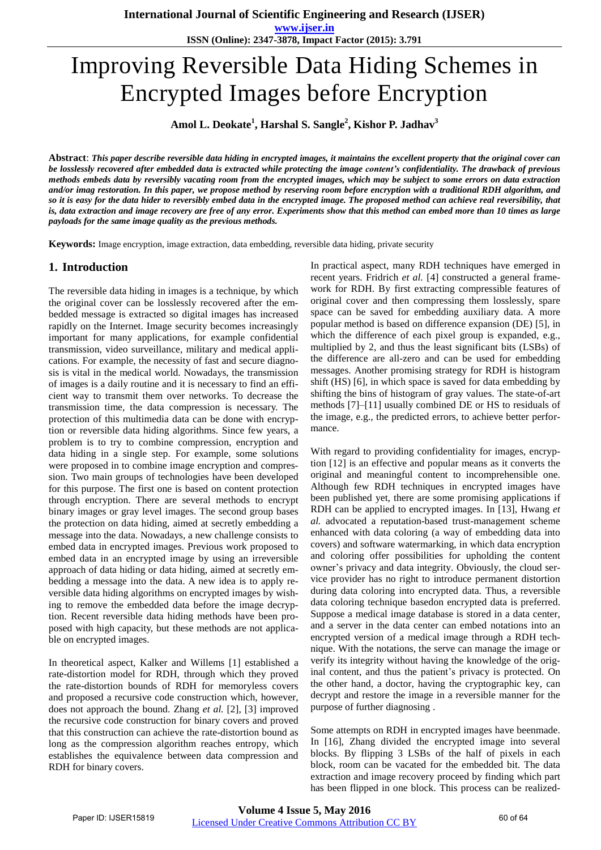**www.ijser.in ISSN (Online): 2347-3878, Impact Factor (2015): 3.791**

# Improving Reversible Data Hiding Schemes in Encrypted Images before Encryption

**Amol L. Deokate<sup>1</sup> , Harshal S. Sangle<sup>2</sup> , Kishor P. Jadhav<sup>3</sup>**

**Abstract**: *This paper describe reversible data hiding in encrypted images, it maintains the excellent property that the original cover can be losslessly recovered after embedded data is extracted while protecting the image content's confidentiality. The drawback of previous methods embeds data by reversibly vacating room from the encrypted images, which may be subject to some errors on data extraction and/or imag restoration. In this paper, we propose method by reserving room before encryption with a traditional RDH algorithm, and so it is easy for the data hider to reversibly embed data in the encrypted image. The proposed method can achieve real reversibility, that is, data extraction and image recovery are free of any error. Experiments show that this method can embed more than 10 times as large payloads for the same image quality as the previous methods.* 

**Keywords:** Image encryption, image extraction, data embedding, reversible data hiding, private security

## **1. Introduction**

The reversible data hiding in images is a technique, by which the original cover can be losslessly recovered after the embedded message is extracted so digital images has increased rapidly on the Internet. Image security becomes increasingly important for many applications, for example confidential transmission, video surveillance, military and medical applications. For example, the necessity of fast and secure diagnosis is vital in the medical world. Nowadays, the transmission of images is a daily routine and it is necessary to find an efficient way to transmit them over networks. To decrease the transmission time, the data compression is necessary. The protection of this multimedia data can be done with encryption or reversible data hiding algorithms. Since few years, a problem is to try to combine compression, encryption and data hiding in a single step. For example, some solutions were proposed in to combine image encryption and compression. Two main groups of technologies have been developed for this purpose. The first one is based on content protection through encryption. There are several methods to encrypt binary images or gray level images. The second group bases the protection on data hiding, aimed at secretly embedding a message into the data. Nowadays, a new challenge consists to embed data in encrypted images. Previous work proposed to embed data in an encrypted image by using an irreversible approach of data hiding or data hiding, aimed at secretly embedding a message into the data. A new idea is to apply reversible data hiding algorithms on encrypted images by wishing to remove the embedded data before the image decryption. Recent reversible data hiding methods have been proposed with high capacity, but these methods are not applicable on encrypted images.

In theoretical aspect, Kalker and Willems [1] established a rate-distortion model for RDH, through which they proved the rate-distortion bounds of RDH for memoryless covers and proposed a recursive code construction which, however, does not approach the bound. Zhang *et al.* [2], [3] improved the recursive code construction for binary covers and proved that this construction can achieve the rate-distortion bound as long as the compression algorithm reaches entropy, which establishes the equivalence between data compression and RDH for binary covers.

In practical aspect, many RDH techniques have emerged in recent years. Fridrich *et al.* [4] constructed a general framework for RDH. By first extracting compressible features of original cover and then compressing them losslessly, spare space can be saved for embedding auxiliary data. A more popular method is based on difference expansion (DE) [5], in which the difference of each pixel group is expanded, e.g., multiplied by 2, and thus the least significant bits (LSBs) of the difference are all-zero and can be used for embedding messages. Another promising strategy for RDH is histogram shift (HS) [6], in which space is saved for data embedding by shifting the bins of histogram of gray values. The state-of-art methods [7]–[11] usually combined DE or HS to residuals of the image, e.g., the predicted errors, to achieve better performance.

With regard to providing confidentiality for images, encryption [12] is an effective and popular means as it converts the original and meaningful content to incomprehensible one. Although few RDH techniques in encrypted images have been published yet, there are some promising applications if RDH can be applied to encrypted images. In [13], Hwang *et al.* advocated a reputation-based trust-management scheme enhanced with data coloring (a way of embedding data into covers) and software watermarking, in which data encryption and coloring offer possibilities for upholding the content owner's privacy and data integrity. Obviously, the cloud service provider has no right to introduce permanent distortion during data coloring into encrypted data. Thus, a reversible data coloring technique basedon encrypted data is preferred. Suppose a medical image database is stored in a data center, and a server in the data center can embed notations into an encrypted version of a medical image through a RDH technique. With the notations, the serve can manage the image or verify its integrity without having the knowledge of the original content, and thus the patient's privacy is protected. On the other hand, a doctor, having the cryptographic key, can decrypt and restore the image in a reversible manner for the purpose of further diagnosing .

Some attempts on RDH in encrypted images have beenmade. In [16], Zhang divided the encrypted image into several blocks. By flipping 3 LSBs of the half of pixels in each block, room can be vacated for the embedded bit. The data extraction and image recovery proceed by finding which part has been flipped in one block. This process can be realized-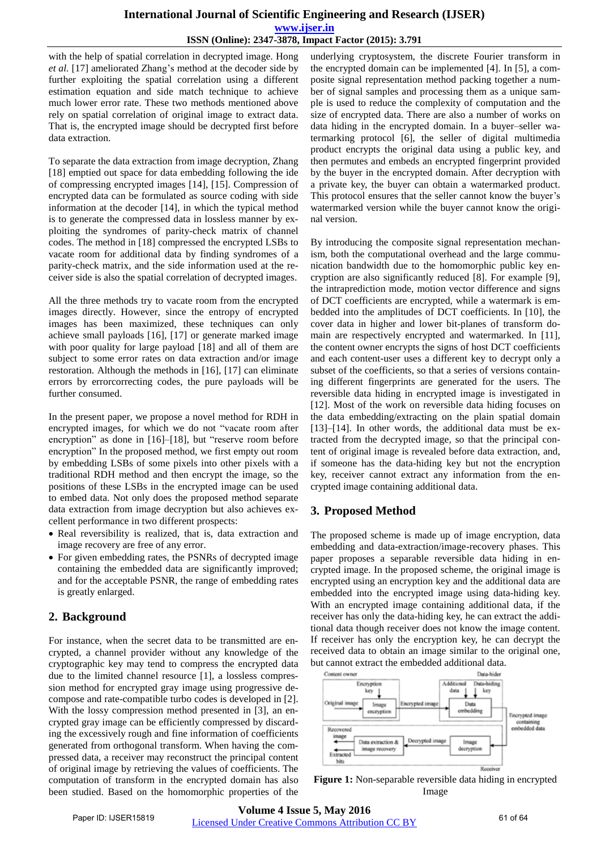## **International Journal of Scientific Engineering and Research (IJSER) www.ijser.in ISSN (Online): 2347-3878, Impact Factor (2015): 3.791**

with the help of spatial correlation in decrypted image. Hong *et al.* [17] ameliorated Zhang's method at the decoder side by further exploiting the spatial correlation using a different estimation equation and side match technique to achieve much lower error rate. These two methods mentioned above rely on spatial correlation of original image to extract data. That is, the encrypted image should be decrypted first before data extraction.

To separate the data extraction from image decryption, Zhang [18] emptied out space for data embedding following the ide of compressing encrypted images [14], [15]. Compression of encrypted data can be formulated as source coding with side information at the decoder [14], in which the typical method is to generate the compressed data in lossless manner by exploiting the syndromes of parity-check matrix of channel codes. The method in [18] compressed the encrypted LSBs to vacate room for additional data by finding syndromes of a parity-check matrix, and the side information used at the receiver side is also the spatial correlation of decrypted images.

All the three methods try to vacate room from the encrypted images directly. However, since the entropy of encrypted images has been maximized, these techniques can only achieve small payloads [16], [17] or generate marked image with poor quality for large payload [18] and all of them are subject to some error rates on data extraction and/or image restoration. Although the methods in [16], [17] can eliminate errors by errorcorrecting codes, the pure payloads will be further consumed.

In the present paper, we propose a novel method for RDH in encrypted images, for which we do not "vacate room after encryption" as done in [16]–[18], but "reserve room before encryption" In the proposed method, we first empty out room by embedding LSBs of some pixels into other pixels with a traditional RDH method and then encrypt the image, so the positions of these LSBs in the encrypted image can be used to embed data. Not only does the proposed method separate data extraction from image decryption but also achieves excellent performance in two different prospects:

- Real reversibility is realized, that is, data extraction and image recovery are free of any error.
- For given embedding rates, the PSNRs of decrypted image containing the embedded data are significantly improved; and for the acceptable PSNR, the range of embedding rates is greatly enlarged.

# **2. Background**

For instance, when the secret data to be transmitted are encrypted, a channel provider without any knowledge of the cryptographic key may tend to compress the encrypted data due to the limited channel resource [1], a lossless compression method for encrypted gray image using progressive decompose and rate-compatible turbo codes is developed in [2]. With the lossy compression method presented in [3], an encrypted gray image can be efficiently compressed by discarding the excessively rough and fine information of coefficients generated from orthogonal transform. When having the compressed data, a receiver may reconstruct the principal content of original image by retrieving the values of coefficients. The computation of transform in the encrypted domain has also been studied. Based on the homomorphic properties of the

underlying cryptosystem, the discrete Fourier transform in the encrypted domain can be implemented [4]. In [5], a composite signal representation method packing together a number of signal samples and processing them as a unique sample is used to reduce the complexity of computation and the size of encrypted data. There are also a number of works on data hiding in the encrypted domain. In a buyer–seller watermarking protocol [6], the seller of digital multimedia product encrypts the original data using a public key, and then permutes and embeds an encrypted fingerprint provided by the buyer in the encrypted domain. After decryption with a private key, the buyer can obtain a watermarked product. This protocol ensures that the seller cannot know the buyer's watermarked version while the buyer cannot know the original version.

By introducing the composite signal representation mechanism, both the computational overhead and the large communication bandwidth due to the homomorphic public key encryption are also significantly reduced [8]. For example [9], the intraprediction mode, motion vector difference and signs of DCT coefficients are encrypted, while a watermark is embedded into the amplitudes of DCT coefficients. In [10], the cover data in higher and lower bit-planes of transform domain are respectively encrypted and watermarked. In [11], the content owner encrypts the signs of host DCT coefficients and each content-user uses a different key to decrypt only a subset of the coefficients, so that a series of versions containing different fingerprints are generated for the users. The reversible data hiding in encrypted image is investigated in [12]. Most of the work on reversible data hiding focuses on the data embedding/extracting on the plain spatial domain [13]–[14]. In other words, the additional data must be extracted from the decrypted image, so that the principal content of original image is revealed before data extraction, and, if someone has the data-hiding key but not the encryption key, receiver cannot extract any information from the encrypted image containing additional data.

## **3. Proposed Method**

The proposed scheme is made up of image encryption, data embedding and data-extraction/image-recovery phases. This paper proposes a separable reversible data hiding in encrypted image. In the proposed scheme, the original image is encrypted using an encryption key and the additional data are embedded into the encrypted image using data-hiding key. With an encrypted image containing additional data, if the receiver has only the data-hiding key, he can extract the additional data though receiver does not know the image content. If receiver has only the encryption key, he can decrypt the received data to obtain an image similar to the original one, but cannot extract the embedded additional data.



**Figure 1:** Non-separable reversible data hiding in encrypted Image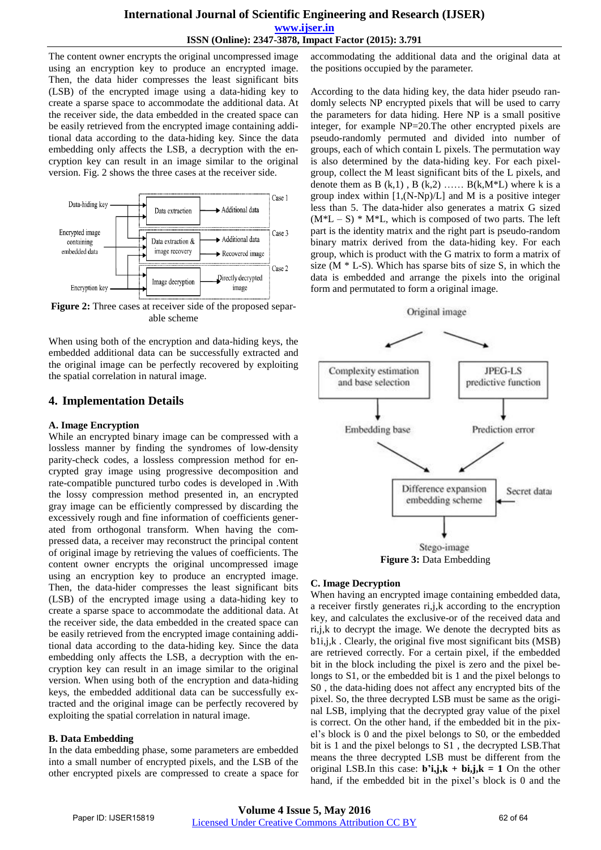## **International Journal of Scientific Engineering and Research (IJSER) www.ijser.in ISSN (Online): 2347-3878, Impact Factor (2015): 3.791**

The content owner encrypts the original uncompressed image using an encryption key to produce an encrypted image. Then, the data hider compresses the least significant bits (LSB) of the encrypted image using a data-hiding key to create a sparse space to accommodate the additional data. At the receiver side, the data embedded in the created space can be easily retrieved from the encrypted image containing additional data according to the data-hiding key. Since the data embedding only affects the LSB, a decryption with the encryption key can result in an image similar to the original version. Fig. 2 shows the three cases at the receiver side.



**Figure 2:** Three cases at receiver side of the proposed separable scheme

When using both of the encryption and data-hiding keys, the embedded additional data can be successfully extracted and the original image can be perfectly recovered by exploiting the spatial correlation in natural image.

## **4. Implementation Details**

#### **A. Image Encryption**

While an encrypted binary image can be compressed with a lossless manner by finding the syndromes of low-density parity-check codes, a lossless compression method for encrypted gray image using progressive decomposition and rate-compatible punctured turbo codes is developed in .With the lossy compression method presented in, an encrypted gray image can be efficiently compressed by discarding the excessively rough and fine information of coefficients generated from orthogonal transform. When having the compressed data, a receiver may reconstruct the principal content of original image by retrieving the values of coefficients. The content owner encrypts the original uncompressed image using an encryption key to produce an encrypted image. Then, the data-hider compresses the least significant bits (LSB) of the encrypted image using a data-hiding key to create a sparse space to accommodate the additional data. At the receiver side, the data embedded in the created space can be easily retrieved from the encrypted image containing additional data according to the data-hiding key. Since the data embedding only affects the LSB, a decryption with the encryption key can result in an image similar to the original version. When using both of the encryption and data-hiding keys, the embedded additional data can be successfully extracted and the original image can be perfectly recovered by exploiting the spatial correlation in natural image.

#### **B. Data Embedding**

In the data embedding phase, some parameters are embedded into a small number of encrypted pixels, and the LSB of the other encrypted pixels are compressed to create a space for accommodating the additional data and the original data at the positions occupied by the parameter.

According to the data hiding key, the data hider pseudo randomly selects NP encrypted pixels that will be used to carry the parameters for data hiding. Here NP is a small positive integer, for example NP=20.The other encrypted pixels are pseudo-randomly permuted and divided into number of groups, each of which contain L pixels. The permutation way is also determined by the data-hiding key. For each pixelgroup, collect the M least significant bits of the L pixels, and denote them as B  $(k,1)$ , B  $(k,2)$  …… B $(k,M^*L)$  where k is a group index within  $[1,(N-Np)/L]$  and M is a positive integer less than 5. The data-hider also generates a matrix G sized  $(M^*L - S) * M^*L$ , which is composed of two parts. The left part is the identity matrix and the right part is pseudo-random binary matrix derived from the data-hiding key. For each group, which is product with the G matrix to form a matrix of size  $(M * L-S)$ . Which has sparse bits of size S, in which the data is embedded and arrange the pixels into the original form and permutated to form a original image.

## Original image



#### **C. Image Decryption**

When having an encrypted image containing embedded data, a receiver firstly generates ri,j,k according to the encryption key, and calculates the exclusive-or of the received data and ri,j,k to decrypt the image. We denote the decrypted bits as b1i,j,k . Clearly, the original five most significant bits (MSB) are retrieved correctly. For a certain pixel, if the embedded bit in the block including the pixel is zero and the pixel belongs to S1, or the embedded bit is 1 and the pixel belongs to S0 , the data-hiding does not affect any encrypted bits of the pixel. So, the three decrypted LSB must be same as the original LSB, implying that the decrypted gray value of the pixel is correct. On the other hand, if the embedded bit in the pixel's block is 0 and the pixel belongs to S0, or the embedded bit is 1 and the pixel belongs to S1 , the decrypted LSB.That means the three decrypted LSB must be different from the original LSB.In this case:  $\mathbf{b}$ <sup>'</sup>i,j, $\mathbf{k}$  +  $\mathbf{b}$ i,j, $\mathbf{k}$  = 1 On the other hand, if the embedded bit in the pixel's block is 0 and the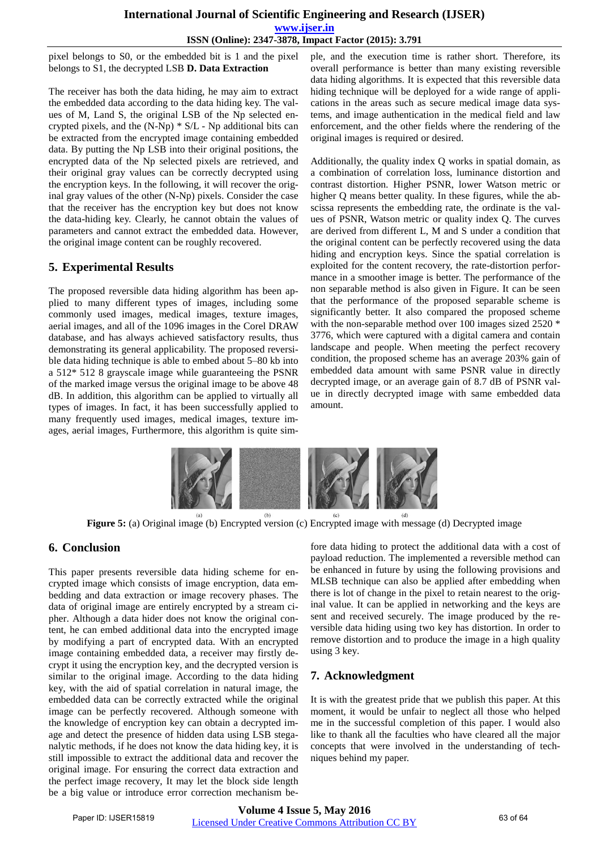## **International Journal of Scientific Engineering and Research (IJSER) www.ijser.in ISSN (Online): 2347-3878, Impact Factor (2015): 3.791**

pixel belongs to S0, or the embedded bit is 1 and the pixel belongs to S1, the decrypted LSB **D. Data Extraction**

The receiver has both the data hiding, he may aim to extract the embedded data according to the data hiding key. The values of M, Land S, the original LSB of the Np selected encrypted pixels, and the (N-Np) \* S/L - Np additional bits can be extracted from the encrypted image containing embedded data. By putting the Np LSB into their original positions, the encrypted data of the Np selected pixels are retrieved, and their original gray values can be correctly decrypted using the encryption keys. In the following, it will recover the original gray values of the other (N-Np) pixels. Consider the case that the receiver has the encryption key but does not know the data-hiding key. Clearly, he cannot obtain the values of parameters and cannot extract the embedded data. However, the original image content can be roughly recovered.

# **5. Experimental Results**

The proposed reversible data hiding algorithm has been applied to many different types of images, including some commonly used images, medical images, texture images, aerial images, and all of the 1096 images in the Corel DRAW database, and has always achieved satisfactory results, thus demonstrating its general applicability. The proposed reversible data hiding technique is able to embed about 5–80 kb into a 512\* 512 8 grayscale image while guaranteeing the PSNR of the marked image versus the original image to be above 48 dB. In addition, this algorithm can be applied to virtually all types of images. In fact, it has been successfully applied to many frequently used images, medical images, texture images, aerial images, Furthermore, this algorithm is quite simple, and the execution time is rather short. Therefore, its overall performance is better than many existing reversible data hiding algorithms. It is expected that this reversible data hiding technique will be deployed for a wide range of applications in the areas such as secure medical image data systems, and image authentication in the medical field and law enforcement, and the other fields where the rendering of the original images is required or desired.

Additionally, the quality index Q works in spatial domain, as a combination of correlation loss, luminance distortion and contrast distortion. Higher PSNR, lower Watson metric or higher Q means better quality. In these figures, while the abscissa represents the embedding rate, the ordinate is the values of PSNR, Watson metric or quality index Q. The curves are derived from different L, M and S under a condition that the original content can be perfectly recovered using the data hiding and encryption keys. Since the spatial correlation is exploited for the content recovery, the rate-distortion performance in a smoother image is better. The performance of the non separable method is also given in Figure. It can be seen that the performance of the proposed separable scheme is significantly better. It also compared the proposed scheme with the non-separable method over 100 images sized 2520 \* 3776, which were captured with a digital camera and contain landscape and people. When meeting the perfect recovery condition, the proposed scheme has an average 203% gain of embedded data amount with same PSNR value in directly decrypted image, or an average gain of 8.7 dB of PSNR value in directly decrypted image with same embedded data amount.



**Figure 5:** (a) Original image (b) Encrypted version (c) Encrypted image with message (d) Decrypted image

# **6. Conclusion**

This paper presents reversible data hiding scheme for encrypted image which consists of image encryption, data embedding and data extraction or image recovery phases. The data of original image are entirely encrypted by a stream cipher. Although a data hider does not know the original content, he can embed additional data into the encrypted image by modifying a part of encrypted data. With an encrypted image containing embedded data, a receiver may firstly decrypt it using the encryption key, and the decrypted version is similar to the original image. According to the data hiding key, with the aid of spatial correlation in natural image, the embedded data can be correctly extracted while the original image can be perfectly recovered. Although someone with the knowledge of encryption key can obtain a decrypted image and detect the presence of hidden data using LSB steganalytic methods, if he does not know the data hiding key, it is still impossible to extract the additional data and recover the original image. For ensuring the correct data extraction and the perfect image recovery, It may let the block side length be a big value or introduce error correction mechanism before data hiding to protect the additional data with a cost of payload reduction. The implemented a reversible method can be enhanced in future by using the following provisions and MLSB technique can also be applied after embedding when there is lot of change in the pixel to retain nearest to the original value. It can be applied in networking and the keys are sent and received securely. The image produced by the reversible data hiding using two key has distortion. In order to remove distortion and to produce the image in a high quality using 3 key.

# **7. Acknowledgment**

It is with the greatest pride that we publish this paper. At this moment, it would be unfair to neglect all those who helped me in the successful completion of this paper. I would also like to thank all the faculties who have cleared all the major concepts that were involved in the understanding of techniques behind my paper.